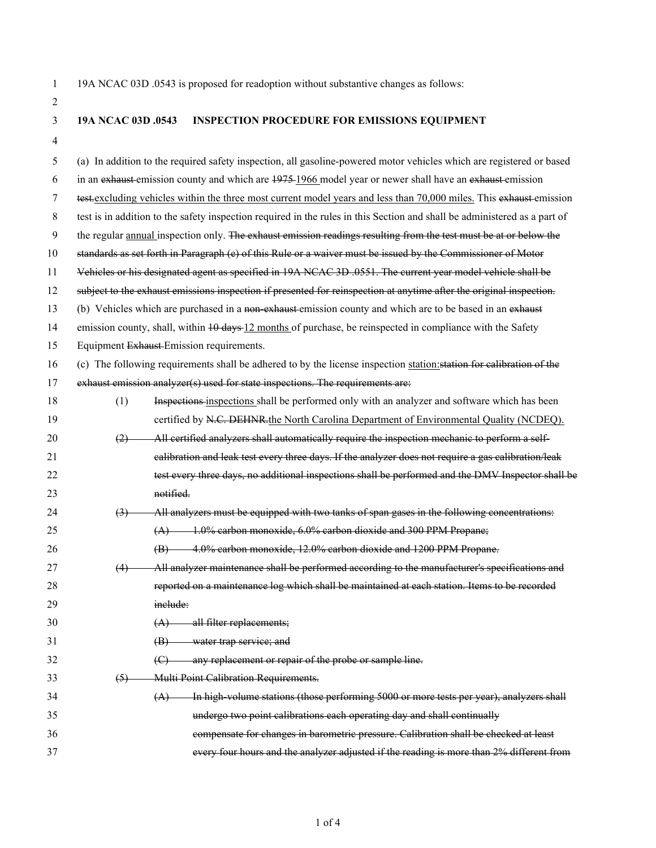1 19A NCAC 03D .0543 is proposed for readoption without substantive changes as follows:

2

## 3 **19A NCAC 03D .0543 INSPECTION PROCEDURE FOR EMISSIONS EQUIPMENT**

4

| 5  | (a) In addition to the required safety inspection, all gasoline-powered motor vehicles which are registered or based      |                                                                                                                     |  |  |  |
|----|---------------------------------------------------------------------------------------------------------------------------|---------------------------------------------------------------------------------------------------------------------|--|--|--|
| 6  | in an exhaust emission county and which are 1975-1966 model year or newer shall have an exhaust emission                  |                                                                                                                     |  |  |  |
| 7  | test-excluding vehicles within the three most current model years and less than 70,000 miles. This exhaust emission       |                                                                                                                     |  |  |  |
| 8  | test is in addition to the safety inspection required in the rules in this Section and shall be administered as a part of |                                                                                                                     |  |  |  |
| 9  |                                                                                                                           | the regular annual inspection only. The exhaust emission readings resulting from the test must be at or below the   |  |  |  |
| 10 |                                                                                                                           | standards as set forth in Paragraph (e) of this Rule or a waiver must be issued by the Commissioner of Motor        |  |  |  |
| 11 | Vehicles or his designated agent as specified in 19A NCAC 3D .0551. The current year model vehicle shall be               |                                                                                                                     |  |  |  |
| 12 |                                                                                                                           | subject to the exhaust emissions inspection if presented for reinspection at anytime after the original inspection. |  |  |  |
| 13 |                                                                                                                           | (b) Vehicles which are purchased in a non-exhaust emission county and which are to be based in an exhaust           |  |  |  |
| 14 |                                                                                                                           | emission county, shall, within 10 days 12 months of purchase, be reinspected in compliance with the Safety          |  |  |  |
| 15 | Equipment Exhaust Emission requirements.                                                                                  |                                                                                                                     |  |  |  |
| 16 | (c) The following requirements shall be adhered to by the license inspection station: station for calibration of the      |                                                                                                                     |  |  |  |
| 17 | exhaust emission analyzer(s) used for state inspections. The requirements are:                                            |                                                                                                                     |  |  |  |
| 18 | (1)                                                                                                                       | Inspections inspections shall be performed only with an analyzer and software which has been                        |  |  |  |
| 19 |                                                                                                                           | certified by N.C. DEHNR-the North Carolina Department of Environmental Quality (NCDEQ).                             |  |  |  |
| 20 | (2)                                                                                                                       | All certified analyzers shall automatically require the inspection mechanic to perform a self-                      |  |  |  |
| 21 |                                                                                                                           | ealibration and leak test every three days. If the analyzer does not require a gas calibration/leak                 |  |  |  |
| 22 |                                                                                                                           | test every three days, no additional inspections shall be performed and the DMV Inspector shall be                  |  |  |  |
| 23 |                                                                                                                           | notified.                                                                                                           |  |  |  |
| 24 | $\left(3\right)$                                                                                                          | All analyzers must be equipped with two tanks of span gases in the following concentrations:                        |  |  |  |
| 25 |                                                                                                                           | $(A)$ 1.0% carbon monoxide, 6.0% carbon dioxide and 300 PPM Propane;                                                |  |  |  |
| 26 |                                                                                                                           | (B) 4.0% carbon monoxide, 12.0% carbon dioxide and 1200 PPM Propane.                                                |  |  |  |
| 27 | (4)                                                                                                                       | All analyzer maintenance shall be performed according to the manufacturer's specifications and                      |  |  |  |
| 28 |                                                                                                                           | reported on a maintenance log which shall be maintained at each station. Items to be recorded                       |  |  |  |
| 29 |                                                                                                                           | inelude:                                                                                                            |  |  |  |
| 30 |                                                                                                                           | $(A)$ all filter replacements;                                                                                      |  |  |  |
| 31 |                                                                                                                           | water trap service; and<br>(B)                                                                                      |  |  |  |
| 32 |                                                                                                                           | any replacement or repair of the probe or sample line.<br>$\left(\bigoplus\right)$                                  |  |  |  |
| 33 | (5)                                                                                                                       | Multi Point Calibration Requirements.                                                                               |  |  |  |
| 34 |                                                                                                                           | In high volume stations (those performing 5000 or more tests per year), analyzers shall<br>(A)                      |  |  |  |
| 35 |                                                                                                                           | undergo two point calibrations each operating day and shall continually                                             |  |  |  |
| 36 |                                                                                                                           | compensate for changes in barometric pressure. Calibration shall be checked at least                                |  |  |  |
| 37 |                                                                                                                           | every four hours and the analyzer adjusted if the reading is more than 2% different from                            |  |  |  |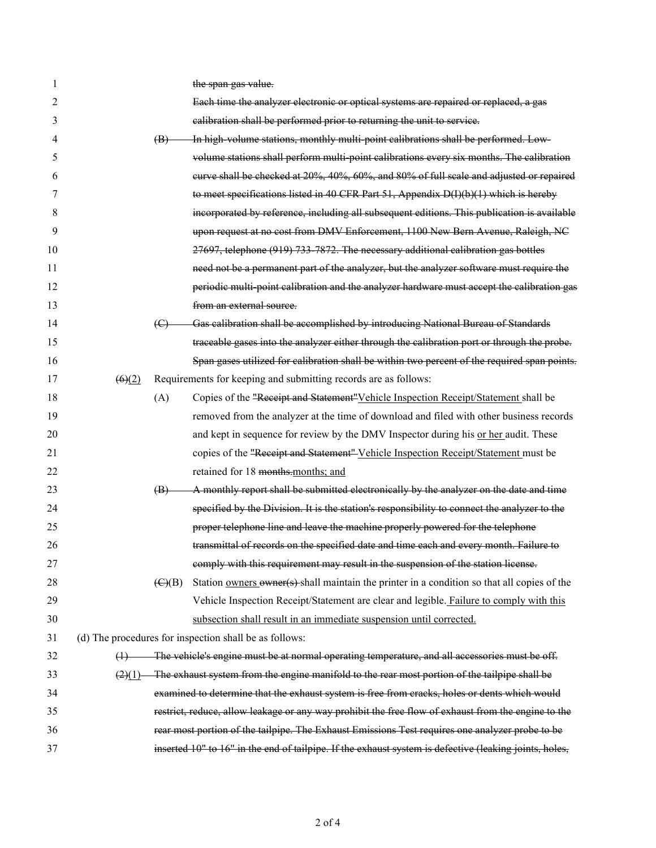| 1  |        |                                                                 | the span gas value.                                                                                    |  |
|----|--------|-----------------------------------------------------------------|--------------------------------------------------------------------------------------------------------|--|
| 2  |        |                                                                 | Each time the analyzer electronic or optical systems are repaired or replaced, a gas                   |  |
| 3  |        |                                                                 | calibration shall be performed prior to returning the unit to service.                                 |  |
| 4  |        | (B)                                                             | In high volume stations, monthly multi-point calibrations shall be performed. Low-                     |  |
| 5  |        |                                                                 | volume stations shall perform multi-point calibrations every six months. The calibration               |  |
| 6  |        |                                                                 | eurve shall be checked at 20%, 40%, 60%, and 80% of full scale and adjusted or repaired                |  |
| 7  |        |                                                                 | to meet specifications listed in 40 CFR Part 51, Appendix D(I)(b)(1) which is hereby                   |  |
| 8  |        |                                                                 | incorporated by reference, including all subsequent editions. This publication is available            |  |
| 9  |        |                                                                 | upon request at no cost from DMV Enforcement, 1100 New Bern Avenue, Raleigh, NC                        |  |
| 10 |        |                                                                 | 27697, telephone (919) 733-7872. The necessary additional calibration gas bottles                      |  |
| 11 |        |                                                                 | need not be a permanent part of the analyzer, but the analyzer software must require the               |  |
| 12 |        |                                                                 | periodic multi-point calibration and the analyzer hardware must accept the calibration gas             |  |
| 13 |        |                                                                 | from an external source.                                                                               |  |
| 14 |        | $\left(\bigoplus\right)$                                        | Gas calibration shall be accomplished by introducing National Bureau of Standards                      |  |
| 15 |        |                                                                 | traceable gases into the analyzer either through the calibration port or through the probe.            |  |
| 16 |        |                                                                 | Span gases utilized for calibration shall be within two percent of the required span points.           |  |
| 17 | (6)(2) | Requirements for keeping and submitting records are as follows: |                                                                                                        |  |
| 18 |        | (A)                                                             | Copies of the "Receipt and Statement" Vehicle Inspection Receipt/Statement shall be                    |  |
| 19 |        |                                                                 | removed from the analyzer at the time of download and filed with other business records                |  |
| 20 |        |                                                                 | and kept in sequence for review by the DMV Inspector during his or her audit. These                    |  |
| 21 |        |                                                                 | copies of the "Receipt and Statement" Vehicle Inspection Receipt/Statement must be                     |  |
| 22 |        |                                                                 | retained for 18 months.months; and                                                                     |  |
| 23 |        | $\left(\mathbf{B}\right)$                                       | A monthly report shall be submitted electronically by the analyzer on the date and time                |  |
| 24 |        |                                                                 | specified by the Division. It is the station's responsibility to connect the analyzer to the           |  |
| 25 |        |                                                                 | proper telephone line and leave the machine properly powered for the telephone                         |  |
| 26 |        |                                                                 | transmittal of records on the specified date and time each and every month. Failure to                 |  |
| 27 |        |                                                                 | comply with this requirement may result in the suspension of the station license.                      |  |
| 28 |        | $\left(\frac{C}{B}\right)$                                      | Station owners owner(s) shall maintain the printer in a condition so that all copies of the            |  |
| 29 |        |                                                                 | Vehicle Inspection Receipt/Statement are clear and legible. Failure to comply with this                |  |
| 30 |        |                                                                 | subsection shall result in an immediate suspension until corrected.                                    |  |
| 31 |        |                                                                 | (d) The procedures for inspection shall be as follows:                                                 |  |
| 32 |        |                                                                 | (1) The vehicle's engine must be at normal operating temperature, and all accessories must be off.     |  |
| 33 |        |                                                                 | $(2)(1)$ The exhaust system from the engine manifold to the rear most portion of the tailpipe shall be |  |
| 34 |        |                                                                 | examined to determine that the exhaust system is free from cracks, holes or dents which would          |  |
| 35 |        |                                                                 | restrict, reduce, allow leakage or any way prohibit the free flow of exhaust from the engine to the    |  |
| 36 |        |                                                                 | rear most portion of the tailpipe. The Exhaust Emissions Test requires one analyzer probe to be        |  |
| 37 |        |                                                                 | inserted 10" to 16" in the end of tailpipe. If the exhaust system is defective (leaking joints, holes, |  |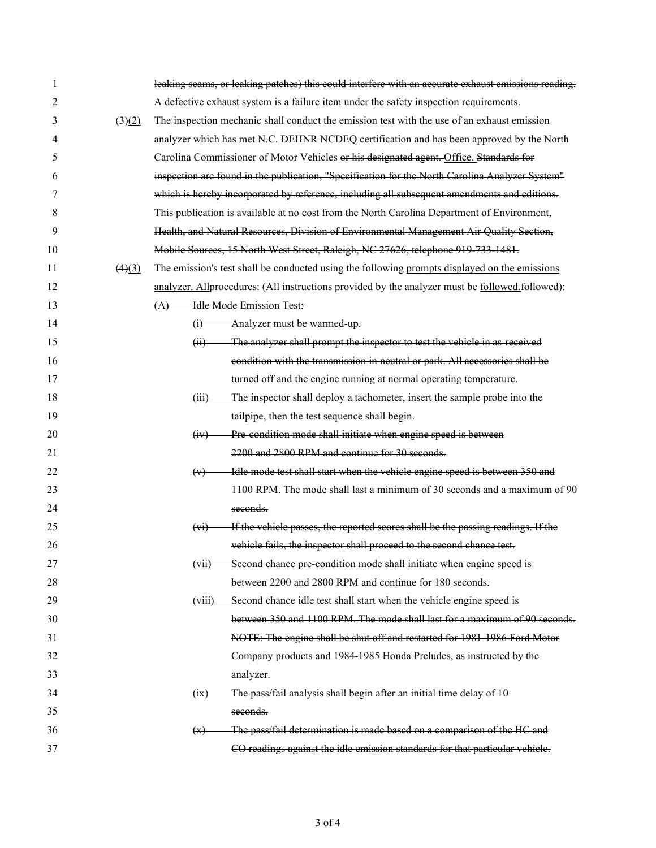| 1  |                                | leaking seams, or leaking patches) this could interfere with an accurate exhaust emissions reading. |  |  |  |  |
|----|--------------------------------|-----------------------------------------------------------------------------------------------------|--|--|--|--|
| 2  |                                | A defective exhaust system is a failure item under the safety inspection requirements.              |  |  |  |  |
| 3  | $\left(3\right)\left(2\right)$ | The inspection mechanic shall conduct the emission test with the use of an exhaust-emission         |  |  |  |  |
| 4  |                                | analyzer which has met N.C. DEHNR NCDEQ certification and has been approved by the North            |  |  |  |  |
| 5  |                                | Carolina Commissioner of Motor Vehicles or his designated agent. Office. Standards for              |  |  |  |  |
| 6  |                                | inspection are found in the publication, "Specification for the North Carolina Analyzer System"     |  |  |  |  |
| 7  |                                | which is hereby incorporated by reference, including all subsequent amendments and editions.        |  |  |  |  |
| 8  |                                | This publication is available at no cost from the North Carolina Department of Environment,         |  |  |  |  |
| 9  |                                | Health, and Natural Resources, Division of Environmental Management Air Quality Section,            |  |  |  |  |
| 10 |                                | Mobile Sources, 15 North West Street, Raleigh, NC 27626, telephone 919 733 1481.                    |  |  |  |  |
| 11 | (4)(3)                         | The emission's test shall be conducted using the following prompts displayed on the emissions       |  |  |  |  |
| 12 |                                | analyzer. Allprocedures: (All-instructions provided by the analyzer must be followed.followed):     |  |  |  |  |
| 13 |                                | <b>Helle Mode Emission Test:</b><br>(A)                                                             |  |  |  |  |
| 14 |                                | $(i)$ Analyzer must be warmed up.                                                                   |  |  |  |  |
| 15 |                                | (ii) The analyzer shall prompt the inspector to test the vehicle in as received                     |  |  |  |  |
| 16 |                                | condition with the transmission in neutral or park. All accessories shall be                        |  |  |  |  |
| 17 |                                | turned off and the engine running at normal operating temperature.                                  |  |  |  |  |
| 18 |                                | The inspector shall deploy a tachometer, insert the sample probe into the<br>(iii)                  |  |  |  |  |
| 19 |                                | tailpipe, then the test sequence shall begin.                                                       |  |  |  |  |
| 20 |                                | Pre condition mode shall initiate when engine speed is between<br>(iv)                              |  |  |  |  |
| 21 |                                | 2200 and 2800 RPM and continue for 30 seconds.                                                      |  |  |  |  |
| 22 |                                | Idle mode test shall start when the vehicle engine speed is between 350 and<br>(v)                  |  |  |  |  |
| 23 |                                | 1100 RPM. The mode shall last a minimum of 30 seconds and a maximum of 90                           |  |  |  |  |
| 24 |                                | seconds.                                                                                            |  |  |  |  |
| 25 |                                | If the vehicle passes, the reported scores shall be the passing readings. If the<br>$(v_1)$         |  |  |  |  |
| 26 |                                | vehicle fails, the inspector shall proceed to the second chance test.                               |  |  |  |  |
| 27 |                                | Second chance pre condition mode shall initiate when engine speed is<br>(w <sub>H</sub> )           |  |  |  |  |
| 28 |                                | between 2200 and 2800 RPM and continue for 180 seconds.                                             |  |  |  |  |
| 29 |                                | Second chance idle test shall start when the vehicle engine speed is<br>(viii)                      |  |  |  |  |
| 30 |                                | between 350 and 1100 RPM. The mode shall last for a maximum of 90 seconds.                          |  |  |  |  |
| 31 |                                | NOTE: The engine shall be shut off and restarted for 1981 1986 Ford Motor                           |  |  |  |  |
| 32 |                                | Company products and 1984 1985 Honda Preludes, as instructed by the                                 |  |  |  |  |
| 33 |                                | analyzer.                                                                                           |  |  |  |  |
| 34 |                                | The pass/fail analysis shall begin after an initial time delay of 10<br>$\overline{(ix)}$           |  |  |  |  |
| 35 |                                | seconds.                                                                                            |  |  |  |  |
| 36 |                                | The pass/fail determination is made based on a comparison of the HC and<br>(x)                      |  |  |  |  |
| 37 |                                | CO readings against the idle emission standards for that particular vehicle.                        |  |  |  |  |